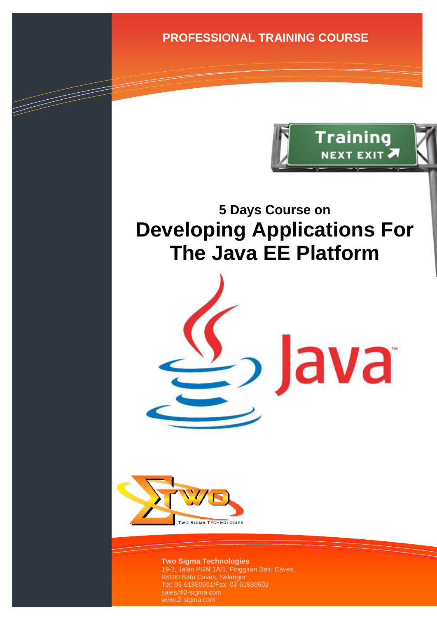**PROFESSIONAL TRAINING COURSE**



ava

# **5 Days Course on Developing Applications For The Java EE Platform**



TIMENT SERVICE SERVICE SERVICE SERVICE SERVICE SERVICE SERVICE SERVICE SERVICE SERVICE SERVICE SERVICE SERVICE<br>SERVICE SERVICE SERVICE SERVICE SERVICE SERVICE SERVICE SERVICE SERVICE SERVICE SERVICE SERVICE SERVICE SERVIC

**Two Sigma Technologies** 19-2, Jalan PGN 1A/1, Pinggiran Batu Caves, 68100 Batu Caves, Selangor Tel: 03-61880601/Fax: 03-61880602 sales@2-sigma.com www.2-sigma.com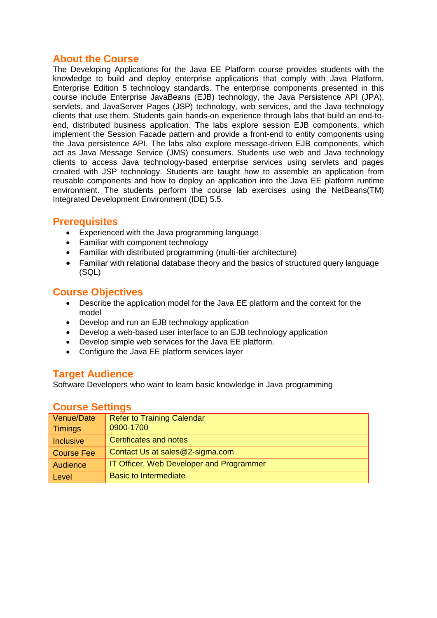#### **About the Course**

The Developing Applications for the Java EE Platform course provides students with the knowledge to build and deploy enterprise applications that comply with Java Platform, Enterprise Edition 5 technology standards. The enterprise components presented in this course include Enterprise JavaBeans (EJB) technology, the Java Persistence API (JPA), servlets, and JavaServer Pages (JSP) technology, web services, and the Java technology clients that use them. Students gain hands-on experience through labs that build an end-toend, distributed business application. The labs explore session EJB components, which implement the Session Facade pattern and provide a front-end to entity components using the Java persistence API. The labs also explore message-driven EJB components, which act as Java Message Service (JMS) consumers. Students use web and Java technology clients to access Java technology-based enterprise services using servlets and pages created with JSP technology. Students are taught how to assemble an application from reusable components and how to deploy an application into the Java EE platform runtime environment. The students perform the course lab exercises using the NetBeans(TM) Integrated Development Environment (IDE) 5.5.

#### **Prerequisites**

- Experienced with the Java programming language
- Familiar with component technology
- Familiar with distributed programming (multi-tier architecture)
- Familiar with relational database theory and the basics of structured query language (SQL)

#### **Course Objectives**

- Describe the application model for the Java EE platform and the context for the model
- Develop and run an EJB technology application
- Develop a web-based user interface to an EJB technology application<br>• Develop simple web services for the Java EE platform.
- Develop simple web services for the Java EE platform.
- Configure the Java EE platform services layer

#### **Target Audience**

Software Developers who want to learn basic knowledge in Java programming

#### **Course Settings**

| Venue/Date        | <b>Refer to Training Calendar</b>               |
|-------------------|-------------------------------------------------|
| <b>Timings</b>    | 0900-1700                                       |
| <b>Inclusive</b>  | Certificates and notes                          |
| <b>Course Fee</b> | Contact Us at sales@2-sigma.com                 |
| Audience          | <b>IT Officer, Web Developer and Programmer</b> |
| Level             | <b>Basic to Intermediate</b>                    |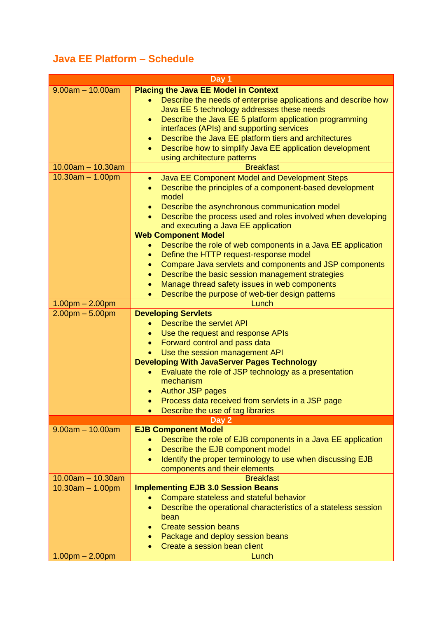## **Java EE Platform – Schedule**

|                                                              | Day 1                                                                                                                                                                                                                                                                                                                                                                                                                                                                                                                                                                                                                                                                                                                                                                                                                          |  |  |
|--------------------------------------------------------------|--------------------------------------------------------------------------------------------------------------------------------------------------------------------------------------------------------------------------------------------------------------------------------------------------------------------------------------------------------------------------------------------------------------------------------------------------------------------------------------------------------------------------------------------------------------------------------------------------------------------------------------------------------------------------------------------------------------------------------------------------------------------------------------------------------------------------------|--|--|
| $9.00am - 10.00am$                                           | <b>Placing the Java EE Model in Context</b><br>Describe the needs of enterprise applications and describe how<br>Java EE 5 technology addresses these needs<br>Describe the Java EE 5 platform application programming<br>$\bullet$<br>interfaces (APIs) and supporting services<br>Describe the Java EE platform tiers and architectures<br>$\bullet$<br>Describe how to simplify Java EE application development<br>$\bullet$<br>using architecture patterns                                                                                                                                                                                                                                                                                                                                                                 |  |  |
| $10.00am - 10.30am$                                          | <b>Breakfast</b>                                                                                                                                                                                                                                                                                                                                                                                                                                                                                                                                                                                                                                                                                                                                                                                                               |  |  |
| $10.30am - 1.00pm$<br>$1.00pm - 2.00pm$<br>$2.00pm - 5.00pm$ | Java EE Component Model and Development Steps<br>$\bullet$<br>Describe the principles of a component-based development<br>$\bullet$<br>model<br>Describe the asynchronous communication model<br>$\bullet$<br>Describe the process used and roles involved when developing<br>$\bullet$<br>and executing a Java EE application<br><b>Web Component Model</b><br>Describe the role of web components in a Java EE application<br>Define the HTTP request-response model<br>$\bullet$<br>Compare Java servlets and components and JSP components<br>$\bullet$<br>Describe the basic session management strategies<br>$\bullet$<br>Manage thread safety issues in web components<br>$\bullet$<br>Describe the purpose of web-tier design patterns<br>$\bullet$<br>Lunch<br><b>Developing Servlets</b><br>Describe the servlet API |  |  |
|                                                              | Use the request and response APIs<br>$\bullet$                                                                                                                                                                                                                                                                                                                                                                                                                                                                                                                                                                                                                                                                                                                                                                                 |  |  |
|                                                              | Forward control and pass data<br>$\bullet$                                                                                                                                                                                                                                                                                                                                                                                                                                                                                                                                                                                                                                                                                                                                                                                     |  |  |
|                                                              | Use the session management API<br>$\bullet$                                                                                                                                                                                                                                                                                                                                                                                                                                                                                                                                                                                                                                                                                                                                                                                    |  |  |
|                                                              | <b>Developing With JavaServer Pages Technology</b><br>Evaluate the role of JSP technology as a presentation<br>$\bullet$<br>mechanism<br><b>Author JSP pages</b><br>Process data received from servlets in a JSP page<br>Describe the use of tag libraries                                                                                                                                                                                                                                                                                                                                                                                                                                                                                                                                                                     |  |  |
| Day 2                                                        |                                                                                                                                                                                                                                                                                                                                                                                                                                                                                                                                                                                                                                                                                                                                                                                                                                |  |  |
| $9.00am - 10.00am$                                           | <b>EJB Component Model</b><br>Describe the role of EJB components in a Java EE application<br>Describe the EJB component model<br>$\bullet$<br>Identify the proper terminology to use when discussing EJB<br>$\bullet$<br>components and their elements                                                                                                                                                                                                                                                                                                                                                                                                                                                                                                                                                                        |  |  |
| $10.00am - 10.30am$                                          | <b>Breakfast</b>                                                                                                                                                                                                                                                                                                                                                                                                                                                                                                                                                                                                                                                                                                                                                                                                               |  |  |
| $10.30am - 1.00pm$                                           | <b>Implementing EJB 3.0 Session Beans</b><br>Compare stateless and stateful behavior<br>Describe the operational characteristics of a stateless session<br>$\bullet$<br>bean<br><b>Create session beans</b><br>$\bullet$<br>Package and deploy session beans<br>$\bullet$<br>Create a session bean client                                                                                                                                                                                                                                                                                                                                                                                                                                                                                                                      |  |  |
| $1.00pm - 2.00pm$                                            | Lunch                                                                                                                                                                                                                                                                                                                                                                                                                                                                                                                                                                                                                                                                                                                                                                                                                          |  |  |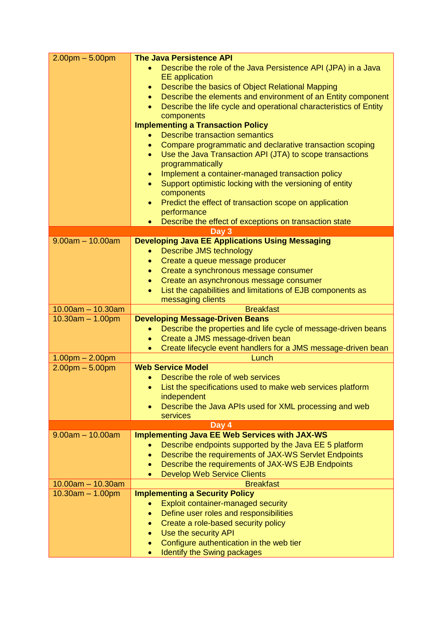| $2.00pm - 5.00pm$                         | <b>The Java Persistence API</b>                                                                    |
|-------------------------------------------|----------------------------------------------------------------------------------------------------|
|                                           | Describe the role of the Java Persistence API (JPA) in a Java<br><b>EE</b> application             |
|                                           | Describe the basics of Object Relational Mapping<br>$\bullet$                                      |
|                                           | Describe the elements and environment of an Entity component<br>$\bullet$                          |
|                                           | Describe the life cycle and operational characteristics of Entity                                  |
|                                           | components                                                                                         |
|                                           | <b>Implementing a Transaction Policy</b>                                                           |
|                                           | <b>Describe transaction semantics</b>                                                              |
|                                           | Compare programmatic and declarative transaction scoping<br>$\bullet$                              |
|                                           | Use the Java Transaction API (JTA) to scope transactions<br>$\bullet$                              |
|                                           | programmatically                                                                                   |
|                                           | Implement a container-managed transaction policy<br>$\bullet$                                      |
|                                           | Support optimistic locking with the versioning of entity<br>$\bullet$                              |
|                                           | components                                                                                         |
|                                           | Predict the effect of transaction scope on application                                             |
|                                           | performance                                                                                        |
|                                           | Describe the effect of exceptions on transaction state<br>$\bullet$                                |
| $9.00am - 10.00am$                        | Day 3                                                                                              |
|                                           | <b>Developing Java EE Applications Using Messaging</b><br><b>Describe JMS technology</b>           |
|                                           | Create a queue message producer<br>$\bullet$                                                       |
|                                           | Create a synchronous message consumer<br>$\bullet$                                                 |
|                                           | Create an asynchronous message consumer<br>$\bullet$                                               |
|                                           | List the capabilities and limitations of EJB components as<br>$\bullet$                            |
|                                           | messaging clients                                                                                  |
|                                           |                                                                                                    |
|                                           |                                                                                                    |
| $10.00am - 10.30am$                       | <b>Breakfast</b>                                                                                   |
| $10.30am - 1.00pm$                        | <b>Developing Message-Driven Beans</b>                                                             |
|                                           | Describe the properties and life cycle of message-driven beans<br>Create a JMS message-driven bean |
|                                           |                                                                                                    |
| $1.00pm - 2.00pm$                         | Create lifecycle event handlers for a JMS message-driven bean<br>Lunch                             |
| $2.00pm - 5.00pm$                         | <b>Web Service Model</b>                                                                           |
|                                           | Describe the role of web services                                                                  |
|                                           | List the specifications used to make web services platform                                         |
|                                           | independent                                                                                        |
|                                           | Describe the Java APIs used for XML processing and web                                             |
|                                           | services                                                                                           |
|                                           | Day 4                                                                                              |
| $9.00am - 10.00am$                        | <b>Implementing Java EE Web Services with JAX-WS</b>                                               |
|                                           | Describe endpoints supported by the Java EE 5 platform                                             |
|                                           | Describe the requirements of JAX-WS Servlet Endpoints<br>۰                                         |
|                                           | Describe the requirements of JAX-WS EJB Endpoints<br>$\bullet$                                     |
|                                           | <b>Develop Web Service Clients</b><br><b>Breakfast</b>                                             |
| $10.00am - 10.30am$<br>$10.30am - 1.00pm$ | <b>Implementing a Security Policy</b>                                                              |
|                                           | Exploit container-managed security                                                                 |
|                                           | Define user roles and responsibilities<br>$\bullet$                                                |
|                                           | Create a role-based security policy<br>$\bullet$                                                   |
|                                           | Use the security API<br>$\bullet$                                                                  |
|                                           | Configure authentication in the web tier                                                           |